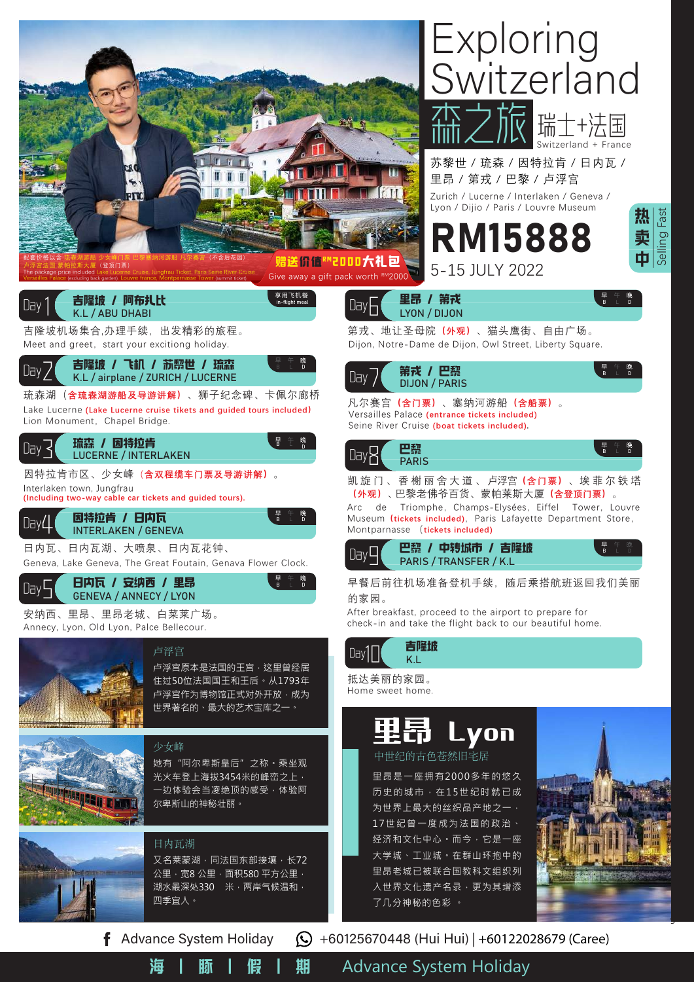

海 | 豚 | 假 | 期 Advance System Holiday

ų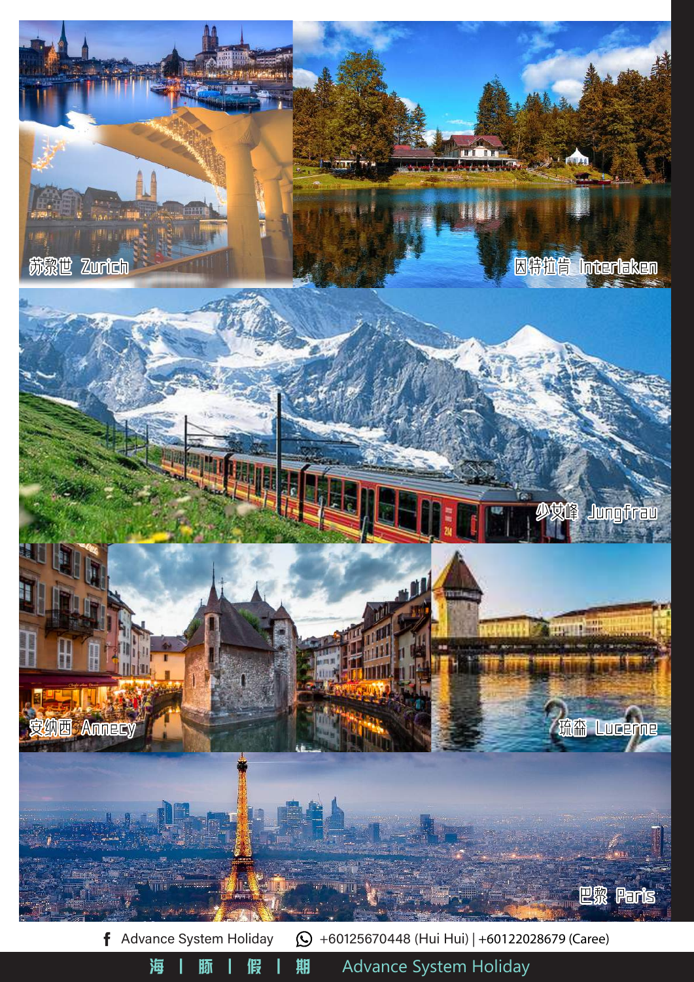

海 | 豚 | 假 | 期 Advance System Holiday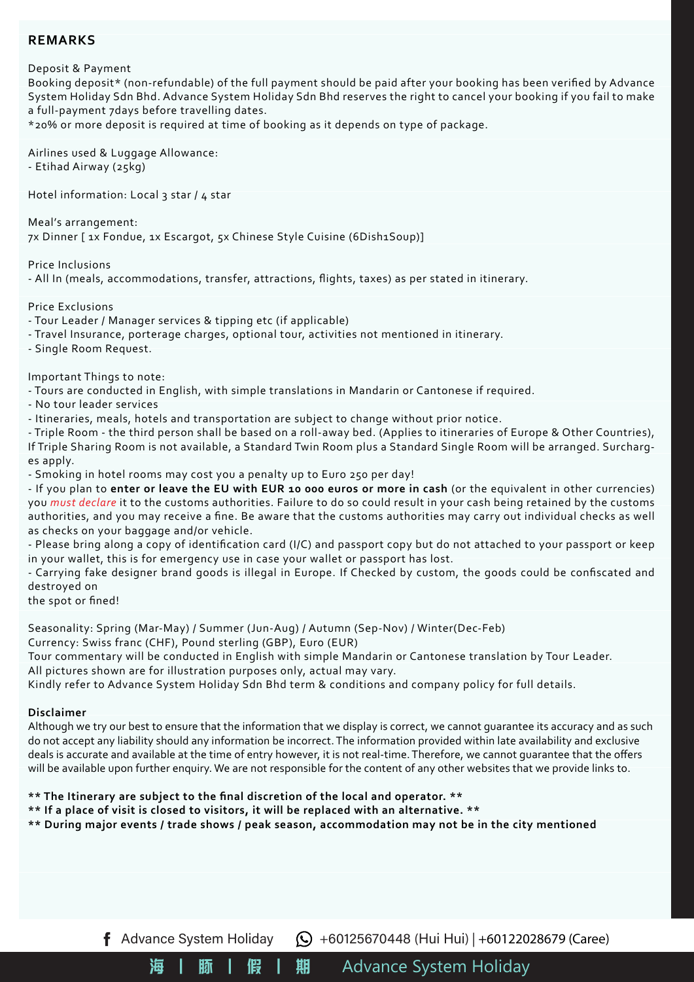## **REMARKS**

Deposit & Payment

Booking deposit\* (non-refundable) of the full payment should be paid after your booking has been verified by Advance System Holiday Sdn Bhd. Advance System Holiday Sdn Bhd reserves the right to cancel your booking if you fail to make a full-payment 7days before travelling dates.

\*20% or more deposit is required at time of booking as it depends on type of package.

Airlines used & Luggage Allowance: - Etihad Airway (25kg)

Hotel information: Local 3 star / 4 star

Meal's arrangement: 7x Dinner [ 1x Fondue, 1x Escargot, 5x Chinese Style Cuisine (6Dish1Soup)]

Price Inclusions

- All In (meals, accommodations, transfer, attractions, flights, taxes) as per stated in itinerary.

Price Exclusions

- Tour Leader / Manager services & tipping etc (if applicable)

- Travel Insurance, porterage charges, optional tour, activities not mentioned in itinerary.

- Single Room Request.

Important Things to note:

- Tours are conducted in English, with simple translations in Mandarin or Cantonese if required.

- No tour leader services

- Itineraries, meals, hotels and transportation are subject to change without prior notice.

- Triple Room - the third person shall be based on a roll-away bed. (Applies to itineraries of Europe & Other Countries), If Triple Sharing Room is not available, a Standard Twin Room plus a Standard Single Room will be arranged. Surcharges apply.

- Smoking in hotel rooms may cost you a penalty up to Euro 250 per day!

- If you plan to **enter or leave the EU with EUR 10 000 euros or more in cash** (or the equivalent in other currencies) you *must declare* it to the customs authorities. Failure to do so could result in your cash being retained by the customs authorities, and you may receive a fine. Be aware that the customs authorities may carry out individual checks as well as checks on your baggage and/or vehicle.

- Please bring along a copy of identification card (I/C) and passport copy but do not attached to your passport or keep in your wallet, this is for emergency use in case your wallet or passport has lost.

- Carrying fake designer brand goods is illegal in Europe. If Checked by custom, the goods could be confiscated and destroyed on

the spot or fined!

Seasonality: Spring (Mar-May) / Summer (Jun-Aug) / Autumn (Sep-Nov) / Winter(Dec-Feb)

Currency: Swiss franc (CHF), Pound sterling (GBP), Euro (EUR)

Tour commentary will be conducted in English with simple Mandarin or Cantonese translation by Tour Leader. All pictures shown are for illustration purposes only, actual may vary.

Kindly refer to Advance System Holiday Sdn Bhd term & conditions and company policy for full details.

#### **Disclaimer**

Although we try our best to ensure that the information that we display is correct, we cannot guarantee its accuracy and as such do not accept any liability should any information be incorrect. The information provided within late availability and exclusive deals is accurate and available at the time of entry however, it is not real-time. Therefore, we cannot guarantee that the offers will be available upon further enquiry. We are not responsible for the content of any other websites that we provide links to.

#### **\*\* The Itinerary are subject to the final discretion of the local and operator. \*\***

**\*\* If a place of visit is closed to visitors, it will be replaced with an alternative. \*\***

**\*\* During major events / trade shows / peak season, accommodation may not be in the city mentioned**

f Advance System Holiday  $\bigodot$  +60125670448 (Hui Hui) | +60122028679 (Caree)

海 | 豚 | 假 | 期 Advance System Holiday